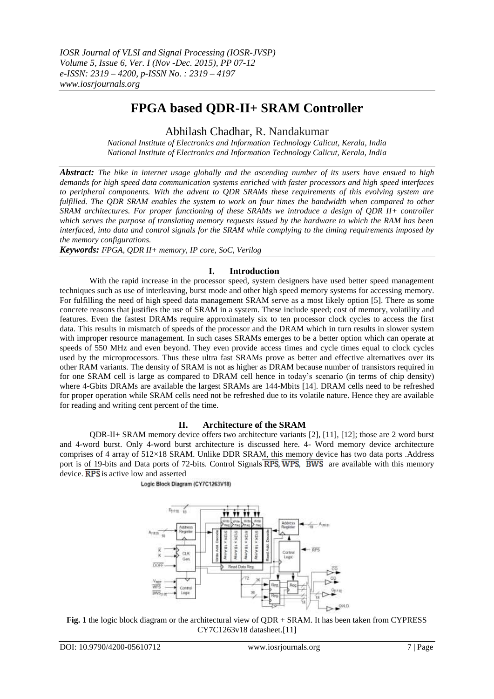# **FPGA based QDR-II+ SRAM Controller**

Abhilash Chadhar, R. Nandakumar

*National Institute of Electronics and Information Technology Calicut, Kerala, India National Institute of Electronics and Information Technology Calicut, Kerala, India*

*Abstract: The hike in internet usage globally and the ascending number of its users have ensued to high demands for high speed data communication systems enriched with faster processors and high speed interfaces to peripheral components. With the advent to QDR SRAMs these requirements of this evolving system are fulfilled. The QDR SRAM enables the system to work on four times the bandwidth when compared to other SRAM architectures. For proper functioning of these SRAMs we introduce a design of QDR II+ controller which serves the purpose of translating memory requests issued by the hardware to which the RAM has been interfaced, into data and control signals for the SRAM while complying to the timing requirements imposed by the memory configurations.* 

*Keywords: FPGA, QDR II+ memory, IP core, SoC, Verilog*

## **I. Introduction**

With the rapid increase in the processor speed, system designers have used better speed management techniques such as use of interleaving, burst mode and other high speed memory systems for accessing memory. For fulfilling the need of high speed data management SRAM serve as a most likely option [5]. There as some concrete reasons that justifies the use of SRAM in a system. These include speed; cost of memory, volatility and features. Even the fastest DRAMs require approximately six to ten processor clock cycles to access the first data. This results in mismatch of speeds of the processor and the DRAM which in turn results in slower system with improper resource management. In such cases SRAMs emerges to be a better option which can operate at speeds of 550 MHz and even beyond. They even provide access times and cycle times equal to clock cycles used by the microprocessors. Thus these ultra fast SRAMs prove as better and effective alternatives over its other RAM variants. The density of SRAM is not as higher as DRAM because number of transistors required in for one SRAM cell is large as compared to DRAM cell hence in today"s scenario (in terms of chip density) where 4-Gbits DRAMs are available the largest SRAMs are 144-Mbits [14]. DRAM cells need to be refreshed for proper operation while SRAM cells need not be refreshed due to its volatile nature. Hence they are available for reading and writing cent percent of the time.

## **II. Architecture of the SRAM**

QDR-II+ SRAM memory device offers two architecture variants [2], [11], [12]; those are 2 word burst and 4-word burst. Only 4-word burst architecture is discussed here. 4- Word memory device architecture comprises of 4 array of 512×18 SRAM. Unlike DDR SRAM, this memory device has two data ports .Address port is of 19-bits and Data ports of 72-bits. Control Signals  $\overline{RPS}$ ,  $\overline{WPS}$ ,  $\overline{BWS}$  are available with this memory device.  $\overline{RPS}$  is active low and asserted

Logic Block Diagram (CY7C1263V18)



**Fig. 1** the logic block diagram or the architectural view of QDR + SRAM. It has been taken from CYPRESS CY7C1263v18 datasheet.[11]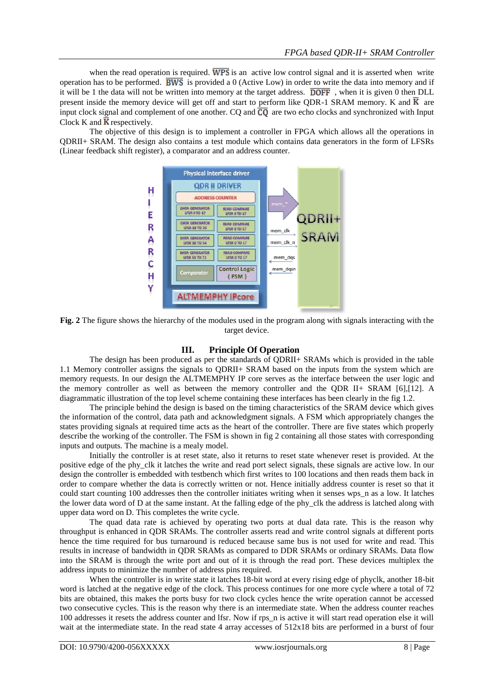when the read operation is required.  $\overline{WPS}$  is an active low control signal and it is asserted when write operation has to be performed.  $\overline{BWS}$  is provided a 0 (Active Low) in order to write the data into memory and if it will be 1 the data will not be written into memory at the target address.  $\overline{DOFF}$ , when it is given 0 then DLL present inside the memory device will get off and start to perform like QDR-1 SRAM memory. K and  $\overline{K}$  are input clock signal and complement of one another. CQ and  $\overline{CO}$  are two echo clocks and synchronized with Input Clock K and  $\overline{K}$  respectively.

The objective of this design is to implement a controller in FPGA which allows all the operations in QDRII+ SRAM. The design also contains a test module which contains data generators in the form of LFSRs (Linear feedback shift register), a comparator and an address counter.



**Fig. 2** The figure shows the hierarchy of the modules used in the program along with signals interacting with the target device.

## **III. Principle Of Operation**

The design has been produced as per the standards of QDRII+ SRAMs which is provided in the table 1.1 Memory controller assigns the signals to QDRII+ SRAM based on the inputs from the system which are memory requests. In our design the ALTMEMPHY IP core serves as the interface between the user logic and the memory controller as well as between the memory controller and the QDR II+ SRAM [6],[12]. A diagrammatic illustration of the top level scheme containing these interfaces has been clearly in the fig 1.2.

The principle behind the design is based on the timing characteristics of the SRAM device which gives the information of the control, data path and acknowledgment signals. A FSM which appropriately changes the states providing signals at required time acts as the heart of the controller. There are five states which properly describe the working of the controller. The FSM is shown in fig 2 containing all those states with corresponding inputs and outputs. The machine is a mealy model.

Initially the controller is at reset state, also it returns to reset state whenever reset is provided. At the positive edge of the phy\_clk it latches the write and read port select signals, these signals are active low. In our design the controller is embedded with testbench which first writes to 100 locations and then reads them back in order to compare whether the data is correctly written or not. Hence initially address counter is reset so that it could start counting 100 addresses then the controller initiates writing when it senses wps\_n as a low. It latches the lower data word of D at the same instant. At the falling edge of the phy\_clk the address is latched along with upper data word on D. This completes the write cycle.

The quad data rate is achieved by operating two ports at dual data rate. This is the reason why throughput is enhanced in QDR SRAMs. The controller asserts read and write control signals at different ports hence the time required for bus turnaround is reduced because same bus is not used for write and read. This results in increase of bandwidth in QDR SRAMs as compared to DDR SRAMs or ordinary SRAMs. Data flow into the SRAM is through the write port and out of it is through the read port. These devices multiplex the address inputs to minimize the number of address pins required.

When the controller is in write state it latches 18-bit word at every rising edge of phyclk, another 18-bit word is latched at the negative edge of the clock. This process continues for one more cycle where a total of 72 bits are obtained, this makes the ports busy for two clock cycles hence the write operation cannot be accessed two consecutive cycles. This is the reason why there is an intermediate state. When the address counter reaches 100 addresses it resets the address counter and lfsr. Now if rps\_n is active it will start read operation else it will wait at the intermediate state. In the read state 4 array accesses of  $512x18$  bits are performed in a burst of four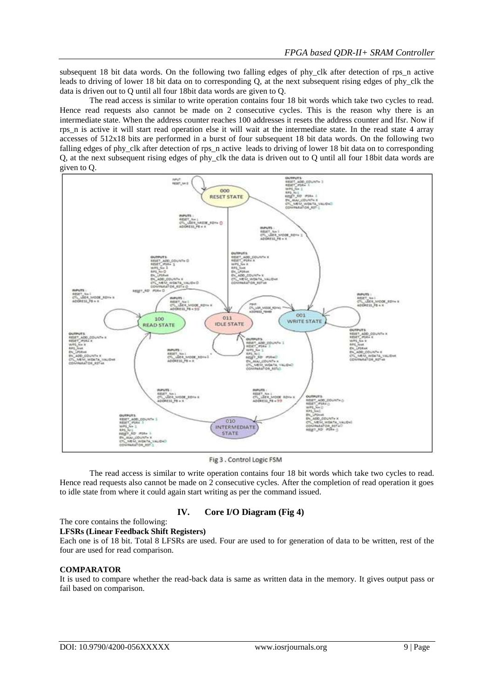subsequent 18 bit data words. On the following two falling edges of phy clk after detection of rps n active leads to driving of lower 18 bit data on to corresponding Q, at the next subsequent rising edges of phy\_clk the data is driven out to Q until all four 18bit data words are given to Q.

The read access is similar to write operation contains four 18 bit words which take two cycles to read. Hence read requests also cannot be made on 2 consecutive cycles. This is the reason why there is an intermediate state. When the address counter reaches 100 addresses it resets the address counter and lfsr. Now if rps\_n is active it will start read operation else it will wait at the intermediate state. In the read state 4 array accesses of 512x18 bits are performed in a burst of four subsequent 18 bit data words. On the following two falling edges of phy\_clk after detection of rps\_n active leads to driving of lower 18 bit data on to corresponding Q, at the next subsequent rising edges of phy\_clk the data is driven out to Q until all four 18bit data words are given to Q.



Fig 3 . Control Logic FSM

The read access is similar to write operation contains four 18 bit words which take two cycles to read. Hence read requests also cannot be made on 2 consecutive cycles. After the completion of read operation it goes to idle state from where it could again start writing as per the command issued.

## **IV. Core I/O Diagram (Fig 4)**

# The core contains the following:

### **LFSRs (Linear Feedback Shift Registers)**

Each one is of 18 bit. Total 8 LFSRs are used. Four are used to for generation of data to be written, rest of the four are used for read comparison.

#### **COMPARATOR**

It is used to compare whether the read-back data is same as written data in the memory. It gives output pass or fail based on comparison.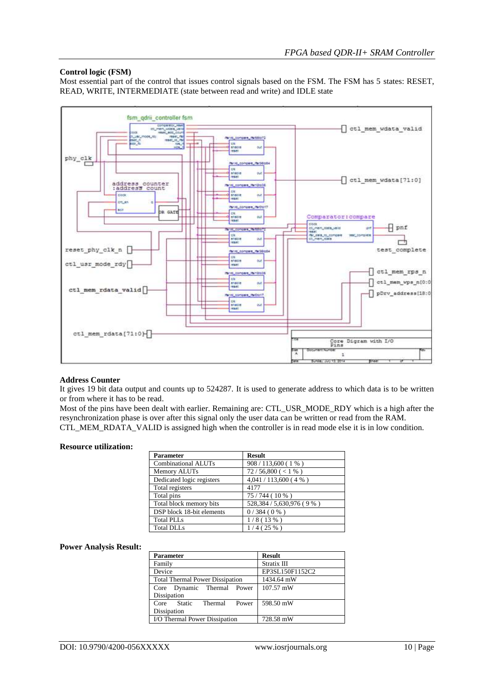### **Control logic (FSM)**

Most essential part of the control that issues control signals based on the FSM. The FSM has 5 states: RESET, READ, WRITE, INTERMEDIATE (state between read and write) and IDLE state



#### **Address Counter**

It gives 19 bit data output and counts up to 524287. It is used to generate address to which data is to be written or from where it has to be read.

Most of the pins have been dealt with earlier. Remaining are: CTL\_USR\_MODE\_RDY which is a high after the resynchronization phase is over after this signal only the user data can be written or read from the RAM. CTL\_MEM\_RDATA\_VALID is assigned high when the controller is in read mode else it is in low condition.

#### **Resource utilization:**

| <b>Parameter</b>           | <b>Result</b>               |
|----------------------------|-----------------------------|
| <b>Combinational ALUTs</b> | 908 / 113,600 (1 %)         |
| Memory ALUTs               | 72/56,800 (< 1 %)           |
| Dedicated logic registers  | 4,041 / 113,600 (4 %)       |
| Total registers            | 4177                        |
| Total pins                 | 75/744 (10 %)               |
| Total block memory bits    | 528,384 / 5,630,976 ( 9 % ) |
| DSP block 18-bit elements  | 0/384(0%                    |
| <b>Total PLLs</b>          | 1/8(13%)                    |
| <b>Total DLLs</b>          | 1/4(25%)                    |

#### **Power Analysis Result:**

| <b>Parameter</b>                       | <b>Result</b>   |  |  |  |
|----------------------------------------|-----------------|--|--|--|
| Family                                 | Stratix III     |  |  |  |
| Device                                 | EP3SL150F1152C2 |  |  |  |
| <b>Total Thermal Power Dissipation</b> | 1434.64 mW      |  |  |  |
| Core Dynamic Thermal Power             | $107.57$ mW     |  |  |  |
| Dissipation                            |                 |  |  |  |
| Static<br>Thermal Power<br>Core        | 598.50 mW       |  |  |  |
| Dissipation                            |                 |  |  |  |
| I/O Thermal Power Dissipation          | 728.58 mW       |  |  |  |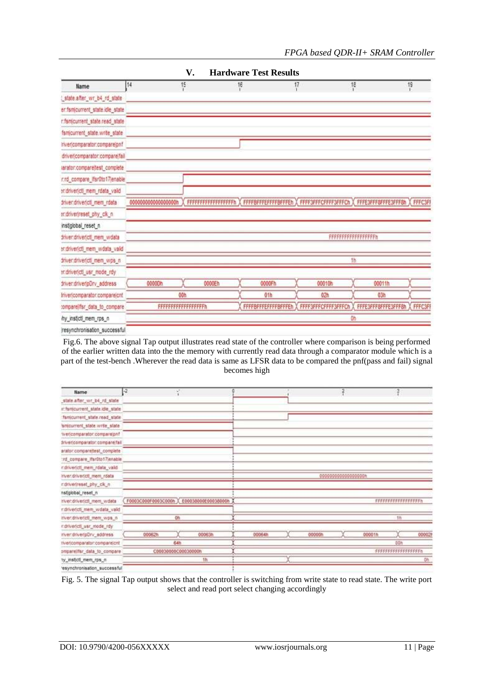| <b>Hardware Test Results</b><br>V. |                     |                    |                                                                                                  |                     |                 |                               |  |  |
|------------------------------------|---------------------|--------------------|--------------------------------------------------------------------------------------------------|---------------------|-----------------|-------------------------------|--|--|
| Name                               | 14                  | 15                 | $^{16}$                                                                                          | $\frac{17}{1}$      | $^{18}_{1}$     | 19                            |  |  |
| state.after_wr_b4_rd_state         |                     |                    |                                                                                                  |                     |                 |                               |  |  |
| er:fsmicurrent_state.idle_state    |                     |                    |                                                                                                  |                     |                 |                               |  |  |
| r:fsmcurrent_state.read_state      |                     |                    |                                                                                                  |                     |                 |                               |  |  |
| famicurrent state write state      |                     |                    |                                                                                                  |                     |                 |                               |  |  |
| invericomparator:compareign!       |                     |                    |                                                                                                  |                     |                 |                               |  |  |
| driver(comparator:compare(fail)    |                     |                    |                                                                                                  |                     |                 |                               |  |  |
| iarator:compareltest_complete      |                     |                    |                                                                                                  |                     |                 |                               |  |  |
| r.rd_compare_itsr0to17jenable      |                     |                    |                                                                                                  |                     |                 |                               |  |  |
| sridrivericti mem rdata valid      |                     |                    |                                                                                                  |                     |                 |                               |  |  |
| driver.drivericti_mem_rdata        | 00000000000000000h  |                    | FFFFFFFFFFFFFFFFFFFF X FFFF8FFFEFFFFBFFFEh X FFFF3FFFCFFFF3FFFCh X FFFE3FFF8FFFE3FFF8h X FFFC3Ff |                     |                 |                               |  |  |
| endriver(reset_phy_ck_n            |                     |                    |                                                                                                  |                     |                 |                               |  |  |
| instiglobal reset n                |                     |                    |                                                                                                  |                     |                 |                               |  |  |
| stiver.driver.ctl_mem_wdata        |                     | FFFFFFFFFFFFFFFFFF |                                                                                                  |                     |                 |                               |  |  |
| sndrivericti mem wdata valid       |                     |                    |                                                                                                  |                     |                 |                               |  |  |
| triver, driver(ctl_mem_wps_n       |                     |                    |                                                                                                  |                     | 1b              |                               |  |  |
| endnverictl_usr_mode_rdy           |                     |                    |                                                                                                  |                     |                 |                               |  |  |
| triver:driveripDrv_address         | 0000Dh              | 0000Eh             | 0000Fh                                                                                           | 00010h              | 00011h          |                               |  |  |
| Inverjcomparator.comparejont       |                     | OOh                |                                                                                                  | 02h                 | 03 <sub>b</sub> |                               |  |  |
| tomparelifsr data to compare       | FFFFFFFFFFFFFFFFFFF |                    | FFFF8FFFEFFFFBFFFEh                                                                              | FFFF3FFFCFFFF3FFFCh |                 | FFFE3FFF8FFFE3FFF8h<br>FFFC3F |  |  |
| hy insticti mem rps n              |                     |                    |                                                                                                  |                     |                 |                               |  |  |
| resynchronisation_successful       |                     |                    |                                                                                                  |                     |                 |                               |  |  |

Fig.6. The above signal Tap output illustrates read state of the controller where comparison is being performed of the earlier written data into the the memory with currently read data through a comparator module which is a part of the test-bench .Wherever the read data is same as LFSR data to be compared the pnf(pass and fail) signal becomes high

| Name                             | ŀ2                                        | W. |        |                     |  |        | 2 |        |                    |        |
|----------------------------------|-------------------------------------------|----|--------|---------------------|--|--------|---|--------|--------------------|--------|
| state.after_wr_b4_rd_state       |                                           |    |        |                     |  |        |   |        |                    |        |
| ir: famicurrent_state.idle_state |                                           |    |        |                     |  |        |   |        |                    |        |
| famicurrent_state.read_state     |                                           |    |        |                     |  |        |   |        |                    |        |
| amcurrent_state.write_state      |                                           |    |        |                     |  |        |   |        |                    |        |
| tver/comparator.comparajonf      |                                           |    |        |                     |  |        |   |        |                    |        |
| trivericomparator:compare/fall   |                                           |    |        |                     |  |        |   |        |                    |        |
| arator.comparellest_complete     |                                           |    |        |                     |  |        |   |        |                    |        |
| ind_compare_ifsr0to17jenable     |                                           |    |        |                     |  |        |   |        |                    |        |
| ndrivericit mem rdata valid      |                                           |    |        |                     |  |        |   |        |                    |        |
| inver driver(cf) mem roata       |                                           |    |        | 000000000000000000m |  |        |   |        |                    |        |
| ridriverireset_phy_ck_n          |                                           |    |        |                     |  |        |   |        |                    |        |
| nstiglobal_reset_n               |                                           |    |        |                     |  |        |   |        |                    |        |
| river.drivericil_mem_wdata       | F0003C000F0003C000h X E00038000E00038000h |    |        |                     |  |        |   |        | FFFFFFFFFFFFFFFFFF |        |
| r.drivericti_mem_wdata_valid     |                                           |    |        |                     |  |        |   |        |                    |        |
| inver.driver(ctl_mem_wps_n       | Oh                                        |    |        |                     |  |        |   | 1h     |                    |        |
| ndrivericit_usr_mode_rdy         |                                           |    |        |                     |  |        |   |        |                    |        |
| river:driver(pDrv_address)       | 000627                                    |    | 00063h | 00064h              |  | 00000h |   | 00001h |                    | 000029 |
| nvericomparator:comparelont      | 64h                                       |    |        |                     |  |        |   |        | DOh                |        |
| priparelifsr data to compare     | C00030000C00630000h                       |    |        |                     |  |        |   |        | FFFFFFFFFFFFFFFFFF |        |
| ty_instictl_mem_rps_n            | 1h                                        |    |        |                     |  |        |   |        | Oh                 |        |
| 'esynchronisation_successful     |                                           |    |        |                     |  |        |   |        |                    |        |